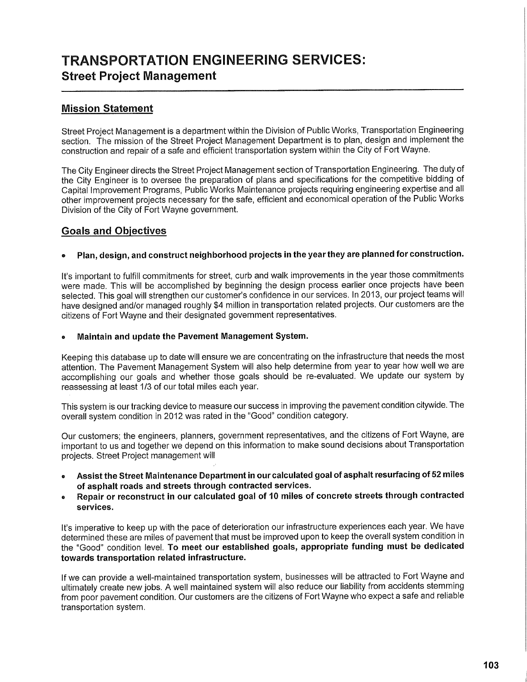# **TRANSPORTATION ENGINEERING SERVICES: Street Project Management**

# **Mission Statement**

Street Project Management is a department within the Division of Public Works, Transportation Engineering section. The mission of the Street Project Management Department is to plan, design and implement the construction and repair of a safe and efficient transportation system within the City of Fort Wayne.

The City Engineer directs the Street Project Management section of Transportation Engineering. The duty of the City Engineer is to oversee the preparation of plans and specifications for the competitive bidding of Capital Improvement Programs, Public Works Maintenance projects requiring engineering expertise and all other improvement projects necessary for the safe, efficient and economical operation of the Public Works Division of the City of Fort Wayne government.

## **Goals and Objectives**

#### **• Plan, design, and construct neighborhood projects in the year they are planned for construction.**

It's important to fulfill commitments for street, curb and walk improvements in the year those commitments were made. This will be accomplished by beginning the design process earlier once projects have been selected. This goal will strengthen our customer's confidence in our services. In 2013, our project teams will have designed and/or managed roughly \$4 million in transportation related projects. Our customers are the citizens of Fort Wayne and their designated government representatives.

#### **• Maintain and update the Pavement Management System.**

Keeping this database up to date will ensure we are concentrating on the infrastructure that needs the most attention. The Pavement Management System will also help determine from year to year how well we are accomplishing our goals and whether those goals should be re-evaluated. We update our system by reassessing at least 1/3 of our total miles each year.

This system is our tracking device to measure our success in improving the pavement condition citywide. The overall system condition in 2012 was rated in the "Good" condition category.

Our customers; the engineers, planners, government representatives, and the citizens of Fort Wayne, are important to us and together we depend on this information to make sound decisions about Transportation projects. Street Project management will

- **Assist the Street Maintenance Department in our calculated goal of asphalt resurfacing of 52 miles of asphalt roads and streets through contracted services.**
- **Repair or reconstruct in our calculated goal of 10 miles of concrete streets through contracted services.**

It's imperative to keep up with the pace of deterioration our infrastructure experiences each year. We have determined these are miles of pavement that must be improved upon to keep the overall system condition in the "Good" condition level. **To meet our established goals, appropriate funding must be dedicated towards transportation related infrastructure.** 

If we can provide a well-maintained transportation system, businesses will be attracted to Fort Wayne and ultimately create new jobs. A well maintained system will also reduce our liability from accidents stemming from poor pavement condition. Our customers are the citizens of Fort Wayne who expect a safe and reliable transportation system.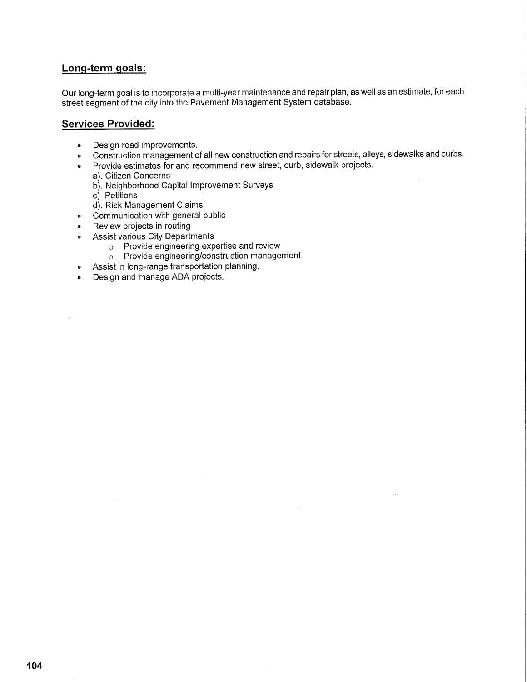## **Long-term goals:**

Our long-term goal is to incorporate a multi-year maintenance and repair plan, as well as an estimate, for each street segment of the city into the Pavement Management System database.

### **Services Provided:**

- Design road improvements.
- Construction management of all new construction and repairs for streets, alleys, sidewalks and curbs.

 $\bar{\mathcal{L}}$ 

- Provide estimates for and recommend new street, curb, sidewalk projects.
	- a). Citizen Concerns
	- b). Neighborhood Capital Improvement Surveys
	- c). Petitions
	- d). Risk Management Claims
- Communication with general public
- Review projects in routing
- Assist various City Departments
	- o Provide engineering expertise and review
	- o Provide engineering/construction management
- Assist in long-range transportation planning.
- Design and manage ADA projects.